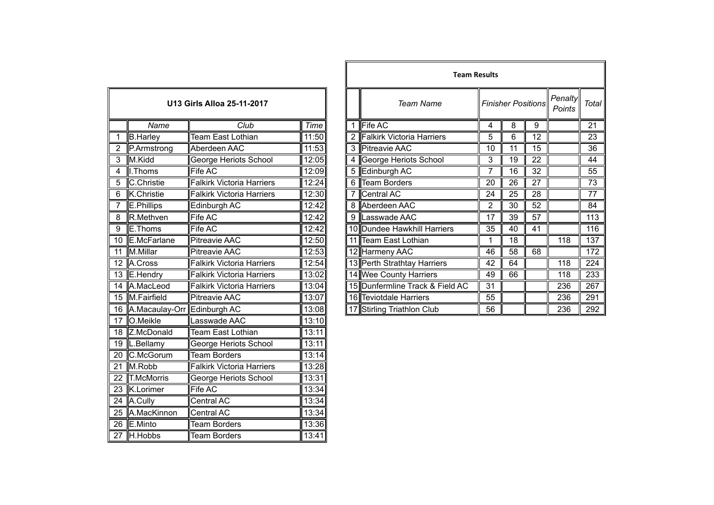| U13 Girls Alloa 25-11-2017 |                             |                                  |       |  |  |
|----------------------------|-----------------------------|----------------------------------|-------|--|--|
|                            | Name                        | Club                             | Time  |  |  |
| 1                          | <b>B.Harley</b>             | Team East Lothian                | 11:50 |  |  |
| $\overline{2}$             | P.Armstrong                 | Aberdeen AAC                     | 11:53 |  |  |
| $\overline{3}$             | M.Kidd                      | George Heriots School            | 12:05 |  |  |
| $\overline{4}$             | I. Thoms                    | <b>Fife AC</b>                   | 12:09 |  |  |
| 5                          | C.Christie                  | <b>Falkirk Victoria Harriers</b> | 12:24 |  |  |
| $\overline{6}$             | K.Christie                  | <b>Falkirk Victoria Harriers</b> | 12:30 |  |  |
| 7                          | E.Phillips                  | Edinburgh AC                     | 12:42 |  |  |
| 8                          | R.Methven                   | Fife AC                          | 12:42 |  |  |
| $\overline{9}$             | E.Thoms                     | <b>Fife AC</b>                   | 12:42 |  |  |
| $\overline{10}$            | E.McFarlane                 | <b>Pitreavie AAC</b>             | 12:50 |  |  |
| $\overline{11}$            | M.Millar                    | <b>Pitreavie AAC</b>             | 12:53 |  |  |
| 12                         | A.Cross                     | <b>Falkirk Victoria Harriers</b> | 12:54 |  |  |
| 13                         | E.Hendry                    | <b>Falkirk Victoria Harriers</b> | 13:02 |  |  |
| $\overline{14}$            | A.MacLeod                   | <b>Falkirk Victoria Harriers</b> | 13:04 |  |  |
| 15                         | M.Fairfield                 | <b>Pitreavie AAC</b>             | 13:07 |  |  |
| $\overline{16}$            | A.Macaulay-Orr Edinburgh AC |                                  | 13:08 |  |  |
| 17                         | O.Meikle                    | Lasswade AAC                     | 13:10 |  |  |
| 18                         | Z.McDonald                  | Team East Lothian                | 13:11 |  |  |
| 19                         | L.Bellamy                   | George Heriots School            | 13:11 |  |  |
| 20                         | C.McGorum                   | <b>Team Borders</b>              | 13:14 |  |  |
| $\overline{21}$            | M.Robb                      | <b>Falkirk Victoria Harriers</b> | 13:28 |  |  |
| $\overline{22}$            | <b>T.McMorris</b>           | <b>George Heriots School</b>     | 13:31 |  |  |
| $\overline{23}$            | K.Lorimer                   | <b>Fife AC</b>                   | 13:34 |  |  |
| 24                         | A.Cully                     | Central AC                       | 13:34 |  |  |
| 25                         | A.MacKinnon                 | Central AC                       | 13:34 |  |  |
| 26                         | E.Minto                     | <b>Team Borders</b>              | 13:36 |  |  |
| 27                         | H.Hobbs                     | <b>Team Borders</b>              | 13:41 |  |  |

|                |                                |                                  |             |  | <b>Team Results</b> |                                 |    |                           |    |                   |                 |
|----------------|--------------------------------|----------------------------------|-------------|--|---------------------|---------------------------------|----|---------------------------|----|-------------------|-----------------|
|                |                                | U13 Girls Alloa 25-11-2017       |             |  |                     | Team Name                       |    | <b>Finisher Positions</b> |    | Penalty<br>Points | <b>Total</b>    |
|                | Name                           | Club                             | <b>Time</b> |  |                     | Fife AC                         | 4  | 8                         | 9  |                   | 21              |
|                | <b>B.Harley</b>                | Team East Lothian                | 11:50       |  | 2                   | Falkirk Victoria Harriers       | 5  | 6                         | 12 |                   | $\overline{23}$ |
| $\overline{2}$ | P.Armstrong                    | Aberdeen AAC                     | 11:53       |  |                     | 3 Pitreavie AAC                 | 10 | 11                        | 15 |                   | 36              |
| 3              | M.Kidd                         | George Heriots School            | 12:05       |  | $\overline{4}$      | George Heriots School           | 3  | 19                        | 22 |                   | 44              |
| 4              | I. Thoms                       | Fife AC                          | 12:09       |  | 5                   | Edinburgh AC                    | 7  | 16                        | 32 |                   | 55              |
| 5              | C.Christie                     | <b>Falkirk Victoria Harriers</b> | 12:24       |  | 6                   | Team Borders                    | 20 | 26                        | 27 |                   | 73              |
| 6              | K.Christie                     | Falkirk Victoria Harriers        | 12:30       |  |                     | Central AC                      | 24 | 25                        | 28 |                   | 77              |
|                | E.Phillips                     | Edinburgh AC                     | 12:42       |  |                     | 8 Aberdeen AAC                  | 2  | 30                        | 52 |                   | 84              |
| $\overline{8}$ | R.Methven                      | <b>Fife AC</b>                   | 12:42       |  | 9                   | Lasswade AAC                    | 17 | 39                        | 57 |                   | 113             |
| 9              | E.Thoms                        | Fife AC                          | 12:42       |  |                     | 10 Dundee Hawkhill Harriers     | 35 | 40                        | 41 |                   | 116             |
|                | 10 E.McFarlane                 | <b>Pitreavie AAC</b>             | 12:50       |  |                     | 11 Team East Lothian            |    | 18                        |    | 118               | 137             |
| 11             | M.Millar                       | <b>Pitreavie AAC</b>             | 12:53       |  |                     | 12 Harmeny AAC                  | 46 | 58                        | 68 |                   | 172             |
|                | 12 A.Cross                     | <b>Falkirk Victoria Harriers</b> | 12:54       |  |                     | 13 Perth Strathtay Harriers     | 42 | 64                        |    | 118               | 224             |
|                | 13 E.Hendry                    | <b>Falkirk Victoria Harriers</b> | 13:02       |  |                     | 14 Wee County Harriers          | 49 | 66                        |    | 118               | 233             |
|                | 14 A.MacLeod                   | <b>Falkirk Victoria Harriers</b> | 13:04       |  |                     | 15 Dunfermline Track & Field AC | 31 |                           |    | 236               | 267             |
|                | 15 M.Fairfield                 | <b>Pitreavie AAC</b>             | 13:07       |  |                     | 16 Teviotdale Harriers          | 55 |                           |    | 236               | 291             |
|                | 16 A.Macaulay-Orr Edinburgh AC |                                  | 13:08       |  |                     | 17 Stirling Triathlon Club      | 56 |                           |    | 236               | 292             |
|                |                                |                                  |             |  |                     |                                 |    |                           |    |                   |                 |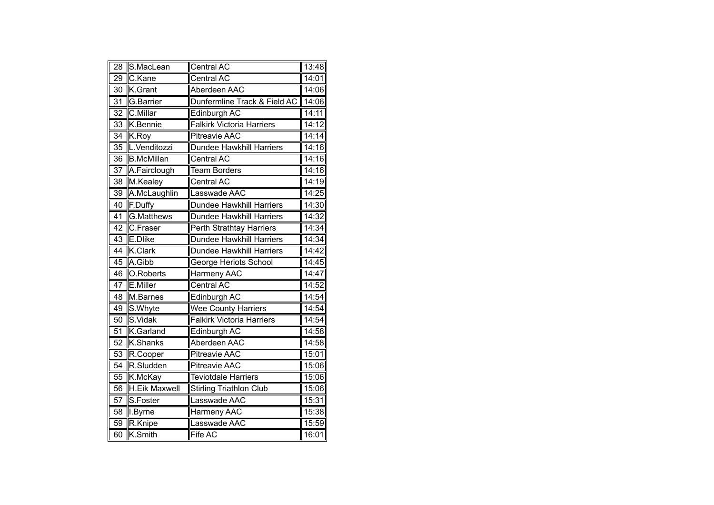| $\overline{28}$ | S.MacLean            | Central AC                       | 13:48 |
|-----------------|----------------------|----------------------------------|-------|
| 29              | C.Kane               | <b>Central AC</b>                | 14:01 |
| 30              | K.Grant              | Aberdeen AAC                     | 14:06 |
| 31              | G.Barrier            | Dunfermline Track & Field AC     | 14:06 |
| $\overline{32}$ | C.Millar             | Edinburgh AC                     | 14:11 |
| $\overline{33}$ | K.Bennie             | <b>Falkirk Victoria Harriers</b> | 14:12 |
| 34              | K.Roy                | <b>Pitreavie AAC</b>             | 14:14 |
| 35              | L.Venditozzi         | <b>Dundee Hawkhill Harriers</b>  | 14:16 |
| $\overline{36}$ | <b>B.McMillan</b>    | <b>Central AC</b>                | 14:16 |
| $\overline{37}$ | A.Fairclough         | <b>Team Borders</b>              | 14:16 |
| 38              | M.Kealey             | <b>Central AC</b>                | 14:19 |
| 39              | A.McLaughlin         | Lasswade AAC                     | 14:25 |
| 40              | F.Duffy              | Dundee Hawkhill Harriers         | 14:30 |
| $\overline{41}$ | G.Matthews           | <b>Dundee Hawkhill Harriers</b>  | 14:32 |
| 42              | C.Fraser             | Perth Strathtay Harriers         | 14:34 |
| 43              | E.Dlike              | Dundee Hawkhill Harriers         | 14:34 |
| 44              | K.Clark              | Dundee Hawkhill Harriers         | 14:42 |
| 45              | A.Gibb               | <b>George Heriots School</b>     | 14:45 |
| 46              | O.Roberts            | <b>Harmeny AAC</b>               | 14:47 |
| $\overline{47}$ | E.Miller             | <b>Central AC</b>                | 14:52 |
| 48              | M.Barnes             | Edinburgh AC                     | 14:54 |
| 49              | S.Whyte              | <b>Wee County Harriers</b>       | 14:54 |
| 50              | S.Vidak              | <b>Falkirk Victoria Harriers</b> | 14:54 |
| 51              | K.Garland            | Edinburgh AC                     | 14:58 |
| 52              | K.Shanks             | Aberdeen AAC                     | 14:58 |
| 53              | R.Cooper             | <b>Pitreavie AAC</b>             | 15:01 |
| 54              | R.Sludden            | <b>Pitreavie AAC</b>             | 15:06 |
| 55              | K.McKay              | <b>Teviotdale Harriers</b>       | 15:06 |
| $\overline{56}$ | <b>H.Eik Maxwell</b> | <b>Stirling Triathlon Club</b>   | 15:06 |
| 57              | S.Foster             | asswade AAC                      | 15:31 |
| 58              | I.Byrne              | Harmeny AAC                      | 15:38 |
| 59              | R.Knipe              | asswade AAC                      | 15:59 |
| 60              | K.Smith              | Fife AC                          | 16:01 |